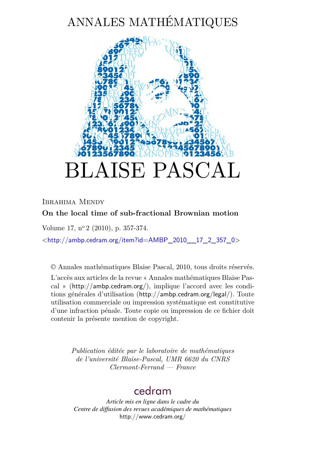# ANNALES MATHÉMATIQUES



## Ibrahima Mendy **On the local time of sub-fractional Brownian motion**

Volume 17, n<sup>o</sup> 2 (2010), p. 357-374.

 $\lt$ [http://ambp.cedram.org/item?id=AMBP\\_2010\\_\\_17\\_2\\_357\\_0](http://ambp.cedram.org/item?id=AMBP_2010__17_2_357_0)>

© Annales mathématiques Blaise Pascal, 2010, tous droits réservés. L'accès aux articles de la revue « Annales mathématiques Blaise Pascal » (<http://ambp.cedram.org/>), implique l'accord avec les conditions générales d'utilisation (<http://ambp.cedram.org/legal/>). Toute utilisation commerciale ou impression systématique est constitutive d'une infraction pénale. Toute copie ou impression de ce fichier doit contenir la présente mention de copyright.

> *Publication éditée par le laboratoire de mathématiques de l'université Blaise-Pascal, UMR 6620 du CNRS Clermont-Ferrand — France*

# [cedram](http://www.cedram.org/)

*Article mis en ligne dans le cadre du Centre de diffusion des revues académiques de mathématiques* <http://www.cedram.org/>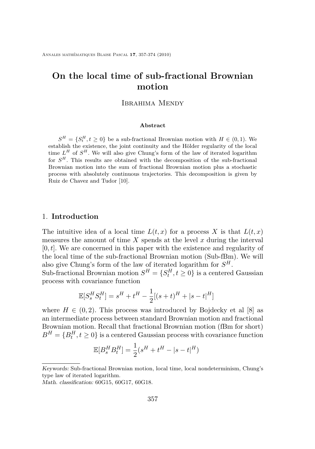Annales mathématiques Blaise Pascal **17**, 357-374 (2010)

## **On the local time of sub-fractional Brownian motion**

#### Ibrahima Mendy

#### **Abstract**

 $S^H = \{S_t^H, t \geq 0\}$  be a sub-fractional Brownian motion with  $H \in (0, 1)$ . We establish the existence, the joint continuity and the Hölder regularity of the local time  $L^H$  of  $S^H$ . We will also give Chung's form of the law of iterated logarithm for *S <sup>H</sup>*. This results are obtained with the decomposition of the sub-fractional Brownian motion into the sum of fractional Brownian motion plus a stochastic process with absolutely continuous trajectories. This decomposition is given by Ruiz de Chavez and Tudor [\[10\]](#page-17-0).

#### 1. **Introduction**

The intuitive idea of a local time  $L(t, x)$  for a process X is that  $L(t, x)$ measures the amount of time *X* spends at the level *x* during the interval [0*, t*]. We are concerned in this paper with the existence and regularity of the local time of the sub-fractional Brownian motion (Sub-fBm). We will also give Chung's form of the law of iterated logarithm for *S H*.

Sub-fractional Brownian motion  $S^H = \{S_t^H, t \ge 0\}$  is a centered Gaussian process with covariance function

$$
\mathbb{E}[S_s^H S_t^H] = s^H + t^H - \frac{1}{2}[(s+t)^H + |s-t|^H]
$$

where  $H \in (0, 2)$ . This process was introduced by Bojdecky et al [\[8\]](#page-16-0) as an intermediate process between standard Brownian motion and fractional Brownian motion. Recall that fractional Brownian motion (fBm for short)  $B^H = \{B^H_t, t \geq 0\}$  is a centered Gaussian process with covariance function

$$
\mathbb{E}[B_s^H B_t^H] = \frac{1}{2}(s^H + t^H - |s - t|^H)
$$

Keywords: Sub-fractional Brownian motion, local time, local nondeterminism, Chung's type law of iterated logarithm.

Math. classification: 60G15, 60G17, 60G18.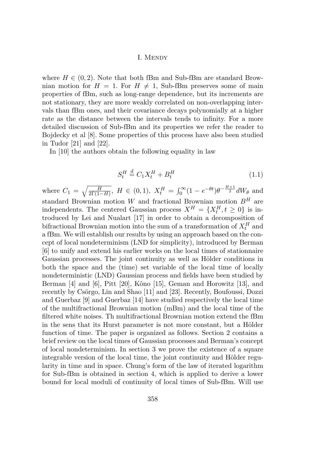where  $H \in (0, 2)$ . Note that both fBm and Sub-fBm are standard Brownian motion for  $H = 1$ . For  $H \neq 1$ , Sub-fBm preserves some of main properties of fBm, such as long-range dependence, but its increments are not stationary, they are more weakly correlated on non-overlapping intervals than fBm ones, and their covariance decays polynomially at a higher rate as the distance between the intervals tends to infinity. For a more detailed discussion of Sub-fBm and its properties we refer the reader to Bojdecky et al [\[8\]](#page-16-0). Some properties of this process have also been studied in Tudor [\[21\]](#page-18-0) and [\[22\]](#page-18-0).

In [\[10\]](#page-17-0) the authors obtain the following equality in law

$$
S_t^H \stackrel{d}{=} C_1 X_t^H + B_t^H \tag{1.1}
$$

where  $C_1 = \sqrt{\frac{H}{2\Gamma(1-H)}}$ ,  $H \in (0,1)$ ,  $X_t^H = \int_0^\infty (1 - e^{-\theta t}) \theta^{-\frac{H+1}{2}} dW_{\theta}$  and standard Brownian motion *W* and fractional Brownian motion *B<sup>H</sup>* are independents. The centered Gaussian process  $X^H = \{X_t^H, t \geq 0\}$  is introduced by Lei and Nualart [\[17\]](#page-17-0) in order to obtain a decomposition of bifractional Brownian motion into the sum of a transformation of  $X_t^H$  and a fBm. We will establish our results by using an approach based on the concept of local nondeterminism (LND for simplicity), introduced by Berman [\[6\]](#page-16-0) to unify and extend his earlier works on the local times of stationnaire Gaussian processes. The joint continuity as well as Hölder conditions in both the space and the (time) set variable of the local time of locally nondeterministic (LND) Gaussian process and fields have been studied by Berman [\[4\]](#page-16-0) and [\[6\]](#page-16-0), Pitt [\[20\]](#page-18-0), Kôno [\[15\]](#page-17-0), Geman and Horowitz [\[13\]](#page-17-0), and recently by Csörgo, Lin and Shao [\[11\]](#page-17-0) and [\[23\]](#page-18-0). Recently, Boufoussi, Dozzi and Guerbaz [\[9\]](#page-17-0) and Guerbaz [\[14\]](#page-17-0) have studied respectively the local time of the multifractional Brownian motion (mBm) and the local time of the filtered white noises. Th multifractional Brownian motion extend the fBm in the sens that its Hurst parameter is not more constant, but a Hölder function of time. The paper is organized as follows. Section 2 contains a brief review on the local times of Gaussian processes and Berman's concept of local nondeterminism. In section 3 we prove the existence of a square integrable version of the local time, the joint continuity and Hölder regularity in time and in space. Chung's form of the law of iterated logarithm for Sub-fBm is obtained in section 4, which is applied to derive a lower bound for local moduli of continuity of local times of Sub-fBm. Will use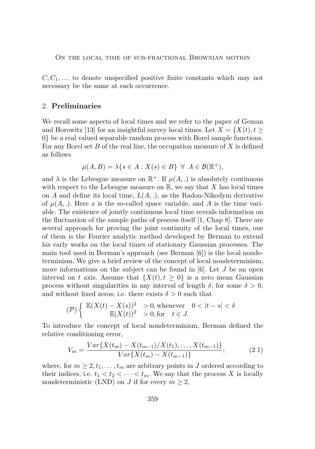$C, C_1, \ldots$  to denote unspecified positive finite constants which may not necessary be the same at each occurrence.

#### 2. **Preliminaries**

We recall some aspects of local times and we refer to the paper of Geman and Horowitz [\[13\]](#page-17-0) for an insightful survey local times. Let  $X = \{X(t), t\geq 0\}$ 0*}* be a real valued separable random process with Borel sample functions. For any Borel set *B* of the real line, the occupation measure of *X* is defined as follows

$$
\mu(A, B) = \lambda \{ s \in A : X(s) \in B \} \ \forall \ A \in \mathcal{B}(\mathbb{R}^+),
$$

and  $\lambda$  is the Lebesgue measure on  $\mathbb{R}^+$ . If  $\mu(A, .)$  is absolutely continuous with respect to the Lebesgue measure on  $\mathbb{R}$ , we say that *X* has local times on *A* and define its local time, *L*(*A, .*), as the Radon-Nikodym derivative of  $\mu(A,.)$ . Here x is the so-called space variable, and A is the time variable. The existence of jointly continuous local time reveals information on the fluctuation of the sample paths of process itself [\[1,](#page-16-0) Chap 8]. There are several approach for proving the joint continuity of the local times, one of them is the Fourier analytic method developed by Berman to extend his early works on the local times of stationary Gaussian processes. The main tool used in Berman's approach (see Berman [\[6\]](#page-16-0)) is the local nondeterminism. We give a brief review of the concept of local nondeterminism, more informations on the subject can be found in [\[6\]](#page-16-0). Let *J* be an open interval on *t* axis. Assume that  $\{X(t), t \geq 0\}$  is a zero mean Gaussian process without singularities in any interval of length  $\delta$ , for some  $\delta > 0$ , and without fixed zeros; i.e. there exists  $\delta > 0$  such that

$$
(\mathcal{P})\left\{\begin{array}{rcl}\mathbb{E}(X(t)-X(s))^2&>0, \text{whenever}&0<|t-s|<\delta\\\mathbb{E}(X(t))^2&>0, \text{for}&t\in J.\end{array}\right.
$$

To introduce the concept of local nondeterminism, Berman defined the relative conditioning error,

$$
V_m = \frac{Var\{X(t_m) - X(t_{m-1})/X(t_1), \dots, X(t_{m-1})\}}{Var\{X(t_m) - X(t_{m-1})\}},
$$
\n(2.1)

where, for  $m \geq 2, t_1, \ldots, t_m$  are arbitrary points in *J* ordered according to their indices, i.e.  $t_1 < t_2 < \cdots < t_m$ . We say that the process X is locally nondeterministic (LND) on *J* if for every  $m \geq 2$ ,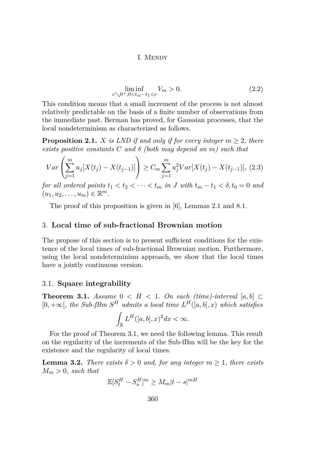$$
\liminf_{c \searrow 0^+, 0 < t_m - t_1 < c} V_m > 0.
$$
\n(2.2)

<span id="page-4-0"></span>This condition means that a small increment of the process is not almost relatively predictable on the basis of a finite number of observations from the immediate past. Berman has proved, for Gaussian processes, that the local nondeterminism as characterized as follows.

**Proposition 2.1.** *X is LND if and only if for every integer*  $m \geq 2$ *, there exists positive constants C and δ (both may depend on m) such that*

$$
Var\left(\sum_{j=1}^{m} u_j[X(t_j) - X(t_{j-1})]\right) \ge C_m \sum_{j=1}^{m} u_j^2 Var[X(t_j) - X(t_{j-1})],
$$
 (2.3)

*for all ordered points*  $t_1 < t_2 < \cdots < t_m$  *in J* with  $t_m - t_1 < \delta$ ,  $t_0 = 0$  *and*  $(u_1, u_2, \ldots, u_m) \in \mathbb{R}^m$ .

The proof of this proposition is given in [\[6\]](#page-16-0), Lemmas 2*.*1 and 8*.*1.

#### 3. **Local time of sub-fractional Brownian motion**

The propose of this section is to present sufficient conditions for the existence of the local times of sub-fractional Brownian motion. Furthermore, using the local nondeterminism approach, we show that the local times have a jointly continuous version.

#### 3.1. **Square integrability**

**Theorem 3.1.** *Assume*  $0 \lt H \lt 1$ *. On each (time)-interval* [a, b] ⊂  $[0, +∞[$ *, the Sub-fBm*  $S^H$  *admits a local time*  $L^H([a, b], x)$  *which satisfies* 

$$
\int_{\mathbb{R}} L^H([a,b],x)^2 dx < \infty.
$$

For the proof of Theorem 3.1, we need the following lemma. This result on the regularity of the increments of the Sub-fBm will be the key for the existence and the regularity of local times.

**Lemma 3.2.** *There exists*  $\delta > 0$  *and, for any integer*  $m \geq 1$ *, there exists*  $M_m > 0$ *, such that* 

$$
\mathbb{E}[S_t^H - S_s^H]^m \ge M_m |t - s|^{mH}
$$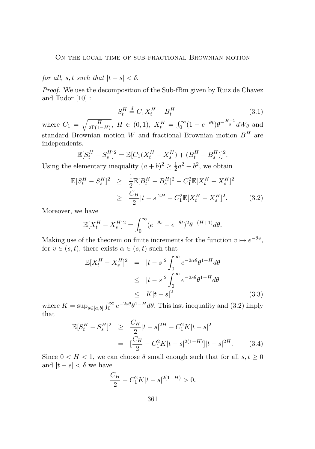### <span id="page-5-0"></span>*for all, s, t such that*  $|t - s| < \delta$ .

*Proof.* We use the decomposition of the Sub-fBm given by Ruiz de Chavez and Tudor [\[10\]](#page-17-0) :

$$
S_t^H \stackrel{d}{=} C_1 X_t^H + B_t^H \tag{3.1}
$$

where  $C_1 = \sqrt{\frac{H}{2\Gamma(1-H)}}$ ,  $H \in (0,1)$ ,  $X_t^H = \int_0^\infty (1 - e^{-\theta t}) \theta^{-\frac{H+1}{2}} dW_{\theta}$  and standard Brownian motion *W* and fractional Brownian motion *B<sup>H</sup>* are independents.

$$
\mathbb{E}[S_t^H - S_s^H]^2 = \mathbb{E}[C_1(X_t^H - X_s^H) + (B_t^H - B_s^H)]^2.
$$

Using the elementary inequality  $(a + b)^2 \geq \frac{1}{2}$  $\frac{1}{2}a^2 - b^2$ , we obtain

$$
\mathbb{E}[S_t^H - S_s^H]^2 \ge \frac{1}{2} \mathbb{E}[B_t^H - B_s^H]^2 - C_1^2 \mathbb{E}[X_t^H - X_s^H]^2
$$
  
 
$$
\ge \frac{C_H}{2} |t - s|^{2H} - C_1^2 \mathbb{E}[X_t^H - X_s^H]^2. \tag{3.2}
$$

Moreover, we have

$$
\mathbb{E}[X_t^H - X_s^H]^2 = \int_0^\infty (e^{-\theta s} - e^{-\theta t})^2 \theta^{-(H+1)} d\theta.
$$

Making use of the theorem on finite increments for the function  $v \mapsto e^{-\theta v}$ , for  $v \in (s, t)$ , there exists  $\alpha \in (s, t)$  such that

$$
\mathbb{E}[X_t^H - X_s^H]^2 = |t - s|^2 \int_0^\infty e^{-2\alpha\theta} \theta^{1-H} d\theta
$$
  
\n
$$
\leq |t - s|^2 \int_0^\infty e^{-2s\theta} \theta^{1-H} d\theta
$$
  
\n
$$
\leq K|t - s|^2
$$
\n(3.3)

where  $K = \sup_{s \in [a,b]} \int_0^\infty e^{-2s\theta} \theta^{1-H} d\theta$ . This last inequality and (3.2) imply that

$$
\mathbb{E}[S_t^H - S_s^H]^2 \ge \frac{C_H}{2} |t - s|^{2H} - C_1^2 K |t - s|^2
$$
  
= 
$$
\left[\frac{C_H}{2} - C_1^2 K |t - s|^{2(1-H)}\right] |t - s|^{2H}.
$$
 (3.4)

Since  $0 < H < 1$ , we can choose  $\delta$  small enough such that for all  $s, t \geq 0$ and  $|t - s| < \delta$  we have

$$
\frac{C_H}{2} - C_1^2 K |t - s|^{2(1 - H)} > 0.
$$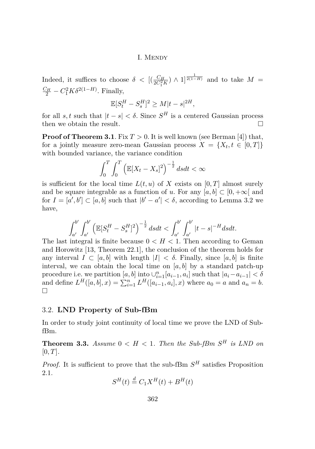#### I. MENDY

Indeed, it suffices to choose  $\delta$  <  $[(\frac{C_H}{2C_1^2 K}) \wedge 1]^{\frac{1}{2(1-H)}}$  and to take  $M =$  $\frac{C_H}{2} - C_1^2 K \delta^{2(1-H)}$ . Finally,

$$
\mathbb{E}[S_t^H - S_s^H]^2 \ge M|t - s|^{2H},
$$

for all *s, t* such that  $|t - s| < \delta$ . Since  $S<sup>H</sup>$  is a centered Gaussian process then we obtain the result.

**Proof of Theorem [3.1](#page-4-0).** Fix  $T > 0$ . It is well known (see Berman [\[4\]](#page-16-0)) that, for a jointly measure zero-mean Gaussian process  $X = \{X_t, t \in [0, T]\}$ with bounded variance, the variance condition

$$
\int_0^T \int_0^T \left( \mathbb{E}[X_t - X_s]^2 \right)^{-\frac{1}{2}} ds dt < \infty
$$

is sufficient for the local time  $L(t, u)$  of X exists on [0, T] almost surely and be square integrable as a function of *u*. For any  $[a, b] \subset [0, +\infty[$  and for  $I = [a', b'] \subset [a, b]$  such that  $|b' - a'| < \delta$ , according to Lemma [3.2](#page-4-0) we have,

$$
\int_{a'}^{b'} \int_{a'}^{b'} \left( \mathbb{E}[S_t^H - S_s^H]^2 \right)^{-\frac{1}{2}} ds dt < \int_{a'}^{b'} \int_{a'}^{b'} |t - s|^{-H} ds dt.
$$

The last integral is finite because  $0 < H < 1$ . Then according to Geman and Horowitz [\[13,](#page-17-0) Theorem 22.1], the conclusion of the theorem holds for any interval  $I \subset [a, b]$  with length  $|I| < \delta$ . Finally, since  $[a, b]$  is finite interval, we can obtain the local time on  $[a, b]$  by a standard patch-up procedure i.e. we partition  $[a, b]$  into  $\bigcup_{i=1}^{n} [a_{i-1}, a_i]$  such that  $|a_i - a_{i-1}| < \delta$ and define  $L^H([a, b], x) = \sum_{i=1}^n L^H([a_{i-1}, a_i], x)$  where  $a_0 = a$  and  $a_n = b$ .  $\Box$ 

#### 3.2. **LND Property of Sub-fBm**

In order to study joint continuity of local time we prove the LND of SubfBm.

**Theorem 3.3.** *Assume*  $0 < H < 1$ *. Then the Sub-fBm*  $S<sup>H</sup>$  *is LND on* [0*, T*]*.*

*Proof.* It is sufficient to prove that the sub-fBm  $S<sup>H</sup>$  satisfies Proposition [2.1.](#page-4-0)

$$
S^{H}(t) \stackrel{d}{=} C_1 X^{H}(t) + B^{H}(t)
$$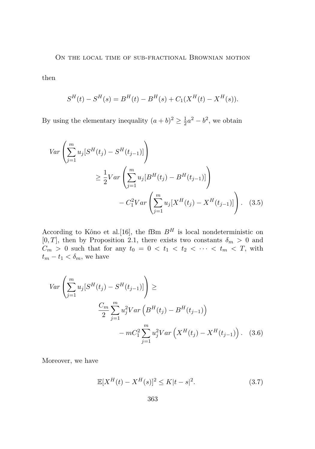#### <span id="page-7-0"></span>ON THE LOCAL TIME OF SUB-FRACTIONAL BROWNIAN MOTION

then

$$
S^{H}(t) - S^{H}(s) = B^{H}(t) - B^{H}(s) + C_{1}(X^{H}(t) - X^{H}(s)).
$$

By using the elementary inequality  $(a + b)^2 \geq \frac{1}{2}$  $\frac{1}{2}a^2 - b^2$ , we obtain

$$
Var\left(\sum_{j=1}^{m} u_j [S^H(t_j) - S^H(t_{j-1})]\right)
$$
  
\n
$$
\geq \frac{1}{2} Var\left(\sum_{j=1}^{m} u_j [B^H(t_j) - B^H(t_{j-1})]\right)
$$
  
\n
$$
- C_1^2 Var\left(\sum_{j=1}^{m} u_j [X^H(t_j) - X^H(t_{j-1})]\right).
$$
 (3.5)

According to Kôno et al. [\[16\]](#page-17-0), the fBm  $B<sup>H</sup>$  is local nondeterministic on  $[0, T]$ , then by Proposition [2.1,](#page-4-0) there exists two constants  $\delta_m > 0$  and  $C_m > 0$  such that for any  $t_0 = 0 < t_1 < t_2 < \cdots < t_m < T$ , with  $t_m - t_1 < \delta_m$ , we have

$$
Var\left(\sum_{j=1}^{m} u_j [S^H(t_j) - S^H(t_{j-1})]\right) \ge
$$
  

$$
\frac{C_m}{2} \sum_{j=1}^{m} u_j^2 Var\left(B^H(t_j) - B^H(t_{j-1})\right)
$$
  

$$
- m C_1^2 \sum_{j=1}^{m} u_j^2 Var\left(X^H(t_j) - X^H(t_{j-1})\right).
$$
 (3.6)

Moreover, we have

$$
\mathbb{E}[X^H(t) - X^H(s)]^2 \le K|t - s|^2. \tag{3.7}
$$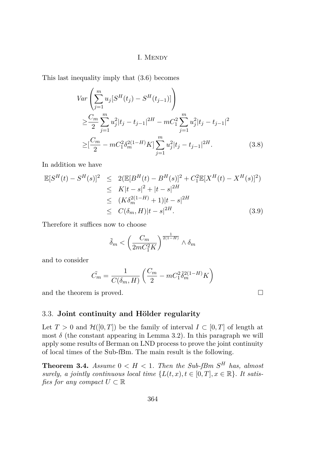<span id="page-8-0"></span>This last inequality imply that [\(3.6\)](#page-7-0) becomes

$$
Var\left(\sum_{j=1}^{m} u_j [S^H(t_j) - S^H(t_{j-1})]\right)
$$
  
\n
$$
\geq \frac{C_m}{2} \sum_{j=1}^{m} u_j^2 |t_j - t_{j-1}|^{2H} - mC_1^2 \sum_{j=1}^{m} u_j^2 |t_j - t_{j-1}|^2
$$
  
\n
$$
\geq \left[\frac{C_m}{2} - mC_1^2 \delta_m^{2(1-H)} K\right] \sum_{j=1}^{m} u_j^2 |t_j - t_{j-1}|^{2H}.
$$
 (3.8)

In addition we have

$$
\mathbb{E}[S^{H}(t) - S^{H}(s)]^{2} \leq 2(\mathbb{E}[B^{H}(t) - B^{H}(s)]^{2} + C_{1}^{2}\mathbb{E}[X^{H}(t) - X^{H}(s)]^{2})
$$
  
\n
$$
\leq K|t - s|^{2} + |t - s|^{2H}
$$
  
\n
$$
\leq (K\delta_{m}^{2(1-H)} + 1)|t - s|^{2H}
$$
  
\n
$$
\leq C(\delta_{m}, H)|t - s|^{2H}. \tag{3.9}
$$

Therefore it suffices now to choose

$$
\tilde{\delta}_m < \left(\frac{C_m}{2mC_1^2K}\right)^{\frac{1}{2(1-H)}} \wedge \delta_m
$$

and to consider

$$
\tilde{C}_m = \frac{1}{C(\delta_m, H)} \left( \frac{C_m}{2} - m C_1^2 \tilde{\delta}_m^{2(1-H)} K \right)
$$

and the theorem is proved.  $\Box$ 

#### 3.3. **Joint continuity and Hölder regularity**

Let  $T > 0$  and  $\mathcal{H}([0,T])$  be the family of interval  $I \subset [0,T]$  of length at most  $\delta$  (the constant appearing in Lemma [3.2\)](#page-4-0). In this paragraph we will apply some results of Berman on LND process to prove the joint continuity of local times of the Sub-fBm. The main result is the following.

**Theorem 3.4.** *Assume*  $0 < H < 1$ *. Then the Sub-fBm*  $S<sup>H</sup>$  *has, almost surely, a jointly continuous local time*  $\{L(t, x), t \in [0, T], x \in \mathbb{R}\}$ *. It satisfies for any compact*  $U \subset \mathbb{R}$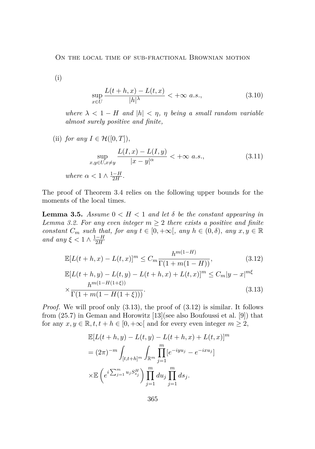<span id="page-9-0"></span>ON THE LOCAL TIME OF SUB-FRACTIONAL BROWNIAN MOTION

(i)

$$
\sup_{x \in U} \frac{L(t+h, x) - L(t, x)}{|h|^\lambda} < +\infty \text{ a.s.},\tag{3.10}
$$

*where*  $\lambda < 1 - H$  *and*  $|h| < \eta$ ,  $\eta$  *being a small random variable almost surely positive and finite,*

(ii) *for any*  $I \in \mathcal{H}([0,T]),$ sup *x*,*y*∈*U*,*x*<sup>≠</sup>*y*  $L(I, x) - L(I, y)$  $\frac{d}{dx} - y|_a^\alpha$  < +∞ *a.s.*, (3.11) *where*  $\alpha < 1 \wedge \frac{1-H}{2H}$  $\frac{-H}{2H}$ .

The proof of Theorem [3.4](#page-8-0) relies on the following upper bounds for the moments of the local times.

**Lemma 3.5.** *Assume*  $0 \lt H \lt 1$  *and let*  $\delta$  *be the constant appearing in Lemma* [3.2.](#page-4-0) For any even integer  $m \geq 2$  there exists a positive and finite *constant*  $C_m$  *such that, for any*  $t \in [0, +\infty[$ *, any*  $h \in (0, \delta)$ *, any*  $x, y \in \mathbb{R}$ *and any*  $\xi < 1 \wedge \frac{1-H}{2H}$ 2*H*

$$
\mathbb{E}[L(t+h,x) - L(t,x)]^{m} \leq C_{m} \frac{h^{m(1-H)}}{\Gamma(1+m(1-H))},
$$
(3.12)  

$$
\mathbb{E}[L(t+h,y) - L(t,y) - L(t+h,x) + L(t,x)]^{m} \leq C_{m}|y-x|^{m\xi}
$$
  

$$
\times \frac{h^{m(1-H(1+\xi))}}{\Gamma(1+m(1-H(1+\xi)))}.
$$
(3.13)

*Proof.* We will proof only  $(3.13)$ , the proof of  $(3.12)$  is similar. It follows from (25*.*7) in Geman and Horowitz [\[13\]](#page-17-0)(see also Boufoussi et al. [\[9\]](#page-17-0)) that for any  $x, y \in \mathbb{R}, t, t + h \in [0, +\infty]$  and for every even integer  $m \geq 2$ ,

$$
\mathbb{E}[L(t+h,y) - L(t,y) - L(t+h,x) + L(t,x)]^m
$$
  
=  $(2\pi)^{-m} \int_{[t,t+h]^m} \int_{\mathbb{R}^m} \prod_{j=1}^m [e^{-iyu_j} - e^{-ixu_j}]$   

$$
\times \mathbb{E}\left(e^{i\sum_{j=1}^m u_j S_{sj}^H}\right) \prod_{j=1}^m du_j \prod_{j=1}^m ds_j.
$$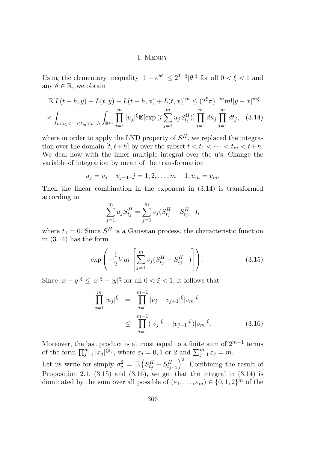Using the elementary inequality  $|1 - e^{i\theta}| \leq 2^{1-\xi} |\theta|^{\xi}$  for all  $0 < \xi < 1$  and any  $\theta \in \mathbb{R}$ , we obtain

$$
\mathbb{E}[L(t+h,y) - L(t,y) - L(t+h,x) + L(t,x)]^m \leq (2^{\xi}\pi)^{-m}m!|y-x|^{m\xi}
$$
  
 
$$
\times \int_{t < t_1 < \dots < t_m < t+h} \int_{\mathbb{R}^m} \prod_{j=1}^m |u_j|^{\xi} \mathbb{E}[\exp(i\sum_{j=1}^m u_j S_{t_j}^H)] \prod_{j=1}^m du_j \prod_{j=1}^m dt_j, (3.14)
$$

where in order to apply the LND property of  $S<sup>H</sup>$ , we replaced the integration over the domain  $[t, t+h]$  by over the subset  $t < t_1 < \cdots < t_m < t+h$ . We deal now with the inner multiple integral over the u's. Change the variable of integration by mean of the transformation

$$
u_j = v_j - v_{j+1}, j = 1, 2, \dots, m-1; u_m = v_m.
$$

Then the linear combination in the exponent in (3.14) is transformed according to

$$
\sum_{j=1}^{m} u_j S_{t_j}^H = \sum_{j=1}^{m} v_j (S_{t_j}^H - S_{t_{j-1}}^H),
$$

where  $t_0 = 0$ . Since  $S^H$  is a Gaussian process, the characteristic function in (3.14) has the form

$$
\exp\left(-\frac{1}{2}Var\left[\sum_{j=1}^{m}v_j(S_{t_j}^H - S_{t_{j-1}}^H)\right]\right).
$$
\n(3.15)

Since  $|x - y|^{\xi} \leq |x|^{\xi} + |y|^{\xi}$  for all  $0 < \xi < 1$ , it follows that

$$
\prod_{j=1}^{m} |u_j|^{\xi} = \prod_{j=1}^{m-1} |v_j - v_{j+1}|^{\xi} |v_m|^{\xi}
$$
\n
$$
\leq \prod_{j=1}^{m-1} (|v_j|^{\xi} + |v_{j+1}|^{\xi}) |v_m|^{\xi}.
$$
\n(3.16)

Moreover, the last product is at most equal to a finite sum of 2 *m−*1 terms of the form  $\prod_{j=1}^{m} |x_j|^{\xi \varepsilon_j}$ , where  $\varepsilon_j = 0, 1$  or 2 and  $\sum_{j=1}^{m} \varepsilon_j = m$ .

Let us write for simply  $\sigma_j^2 = \mathbb{E}\left(S_{t_j}^H - S_{t_{j-1}}^H\right)^2$ . Combining the result of Proposition [2.1,](#page-4-0)  $(3.15)$  and  $(3.16)$ , we get that the integral in  $(3.14)$  is dominated by the sum over all possible of  $(\varepsilon_1, \ldots, \varepsilon_m) \in \{0, 1, 2\}^m$  of the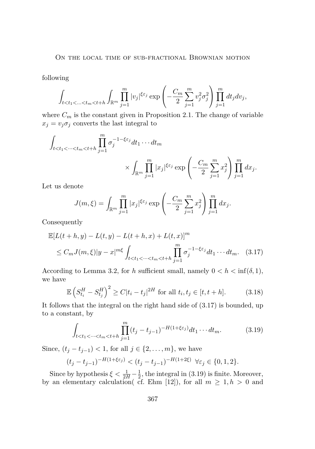<span id="page-11-0"></span>following

$$
\int_{t
$$

where  $C_m$  is the constant given in Proposition [2.1.](#page-4-0) The change of variable  $x_j = v_j \sigma_j$  converts the last integral to

$$
\int_{t < t_1 < \dots < t_m < t + h} \prod_{j=1}^m \sigma_j^{-1 - \xi \varepsilon_j} dt_1 \dots dt_m
$$
\n
$$
\times \int_{\mathbb{R}^m} \prod_{j=1}^m |x_j|^{\xi \varepsilon_j} \exp\left(-\frac{C_m}{2} \sum_{j=1}^m x_j^2\right) \prod_{j=1}^m dx_j.
$$

Let us denote

$$
J(m,\xi) = \int_{\mathbb{R}^m} \prod_{j=1}^m |x_j|^{\xi \varepsilon_j} \exp\left(-\frac{C_m}{2} \sum_{j=1}^m x_j^2\right) \prod_{j=1}^m dx_j.
$$

Consequently

$$
\mathbb{E}[L(t+h,y) - L(t,y) - L(t+h,x) + L(t,x)]^{m}
$$
  
\n
$$
\leq C_m J(m,\xi)|y-x|^{m\xi} \int_{t < t_1 < \dots < t_m < t+h} \prod_{j=1}^{m} \sigma_j^{-1-\xi \varepsilon_j} dt_1 \dots dt_m.
$$
 (3.17)

According to Lemma [3.2,](#page-4-0) for *h* sufficient small, namely  $0 < h < \inf(\delta, 1)$ , we have

$$
\mathbb{E}\left(S_{t_i}^H - S_{t_j}^H\right)^2 \ge C|t_i - t_j|^{2H} \text{ for all } t_i, t_j \in [t, t + h]. \tag{3.18}
$$

It follows that the integral on the right hand side of (3.17) is bounded, up to a constant, by

$$
\int_{t < t_1 < \dots < t_m < t + h} \prod_{j=1}^m (t_j - t_{j-1})^{-H(1 + \xi \varepsilon_j)} dt_1 \dots dt_m. \tag{3.19}
$$

Since,  $(t_j - t_{j-1})$  < 1, for all  $j \in \{2, ..., m\}$ , we have

$$
(t_j - t_{j-1})^{-H(1 + \xi \varepsilon_j)} < (t_j - t_{j-1})^{-H(1 + 2\xi)} \quad \forall \varepsilon_j \in \{0, 1, 2\}.
$$

Since by hypothesis  $\xi < \frac{1}{2H} - \frac{1}{2}$  $\frac{1}{2}$ , the integral in (3.19) is finite. Moreover, by an elementary calculation( cf. Ehm [\[12\]](#page-17-0)), for all  $m \geq 1, h > 0$  and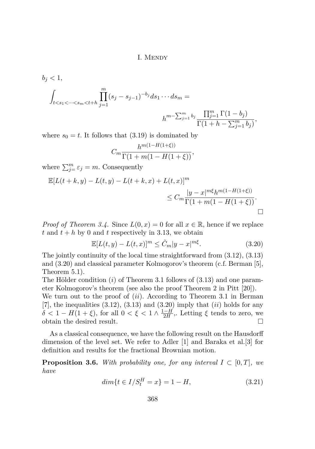$$
b_j < 1,
$$
  

$$
\int_{t < s_1 < \dots < s_m < t + h} \prod_{j=1}^m (s_j - s_{j-1})^{-b_j} ds_1 \dots ds_m =
$$
  

$$
h^{m - \sum_{j=1}^m b_j} \frac{\prod_{j=1}^m \Gamma(1 - b_j)}{\Gamma(1 + h - \sum_{j=1}^m b_j)},
$$

where  $s_0 = t$ . It follows that  $(3.19)$  is dominated by

$$
C_m \frac{h^{m(1-H(1+\xi))}}{\Gamma(1+m(1-H(1+\xi))},
$$

where  $\sum_{j=1}^{m} \varepsilon_j = m$ . Consequently

$$
\mathbb{E}[L(t+k,y) - L(t,y) - L(t+k,x) + L(t,x)]^m
$$
  
\n
$$
\leq C_m \frac{|y-x|^{m\xi} h^{m(1-H(1+\xi))}}{\Gamma(1+m(1-H(1+\xi))}.
$$

*Proof of Theorem [3.4.](#page-8-0)* Since  $L(0, x) = 0$  for all  $x \in \mathbb{R}$ , hence if we replace  $t$  and  $t + h$  by 0 and  $t$  respectively in 3.[13](#page-9-0), we obtain

$$
\mathbb{E}[L(t,y) - L(t,x)]^m \le \tilde{C}_m |y - x|^{m\xi}.
$$
\n(3.20)

The jointly continuity of the local time straightforward from [\(3.12\)](#page-9-0), [\(3.13\)](#page-9-0) and (3.20) and classical parameter Kolmogorov's theorem (c.f. Berman [\[5\]](#page-16-0), Theorem 5*.*1).

The Hölder condition (*i*) of Theorem 3*.*1 follows of [\(3.13\)](#page-9-0) and one parameter Kolmogorov's theorem (see also the proof Theorem 2 in Pitt [\[20\]](#page-18-0)).

We turn out to the proof of (*ii*). According to Theorem 3*.*1 in Berman [\[7\]](#page-16-0), the inequalities [\(3.12\)](#page-9-0), [\(3.13\)](#page-9-0) and (3.20) imply that (*ii*) holds for any  $\delta$  < 1 *− H*(1 + *ξ*), for all 0 <  $\xi$  < 1  $\land \frac{1-H}{2H}$  $\frac{2H}{2H}$ , Letting  $\xi$  tends to zero, we obtain the desired result.

As a classical consequence, we have the following result on the Hausdorff dimension of the level set. We refer to Adler [\[1\]](#page-16-0) and Baraka et al.[\[3\]](#page-16-0) for definition and results for the fractional Brownian motion.

**Proposition 3.6.** *With probability one, for any interval*  $I \subset [0, T]$ *, we have*

$$
dim{t \in I/S_t^H = x} = 1 - H,
$$
\n(3.21)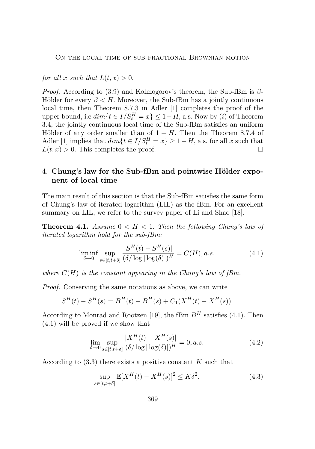<span id="page-13-0"></span>*for all*  $x$  *such that*  $L(t, x) > 0$ .

*Proof.* According to [\(3.9\)](#page-8-0) and Kolmogorov's theorem, the Sub-fBm is *β*-Hölder for every  $\beta < H$ . Moreover, the Sub-fBm has a jointly continuous local time, then Theorem 8*.*7*.*3 in Adler [\[1\]](#page-16-0) completes the proof of the upper bound, i.e  $dim{t \in I/S_t^H} = x$ ,  $\leq 1 - H$ , a.s. Now by (*i*) of Theorem [3.4,](#page-8-0) the jointly continuous local time of the Sub-fBm satisfies an uniform Hölder of any order smaller than of 1 *− H*. Then the Theorem 8*.*7*.*4 of Adler [\[1\]](#page-16-0) implies that  $dim{t \in I/S_t^H = x} \ge 1 - H$ , a.s. for all *x* such that  $L(t, x) > 0$ . This completes the proof.

### 4. **Chung's law for the Sub-fBm and pointwise Hölder exponent of local time**

The main result of this section is that the Sub-fBm satisfies the same form of Chung's law of iterated logarithm (LIL) as the fBm. For an excellent summary on LIL, we refer to the survey paper of Li and Shao [\[18\]](#page-17-0).

**Theorem 4.1.** *Assume*  $0 \lt H \lt 1$ *. Then the following Chung's law of iterated logarithm hold for the sub-fBm:*

$$
\liminf_{\delta \to 0} \sup_{s \in [t, t+\delta]} \frac{|S^H(t) - S^H(s)|}{(\delta / \log |\log(\delta)|)^H} = C(H), a.s.
$$
\n(4.1)

*where*  $C(H)$  *is the constant appearing in the Chung's law of fBm.* 

*Proof.* Conserving the same notations as above, we can write

$$
S^{H}(t) - S^{H}(s) = B^{H}(t) - B^{H}(s) + C_{1}(X^{H}(t) - X^{H}(s))
$$

According to Monrad and Rootzen [\[19\]](#page-17-0), the fBm  $B<sup>H</sup>$  satisfies (4.1). Then (4.1) will be proved if we show that

$$
\lim_{\delta \to 0} \sup_{s \in [t, t+\delta]} \frac{|X^H(t) - X^H(s)|}{(\delta / \log |\log(\delta)|)^H} = 0, a.s.
$$
\n(4.2)

According to [\(3.3\)](#page-5-0) there exists a positive constant *K* such that

$$
\sup_{s \in [t, t+\delta]} \mathbb{E}[X^H(t) - X^H(s)]^2 \le K\delta^2.
$$
\n(4.3)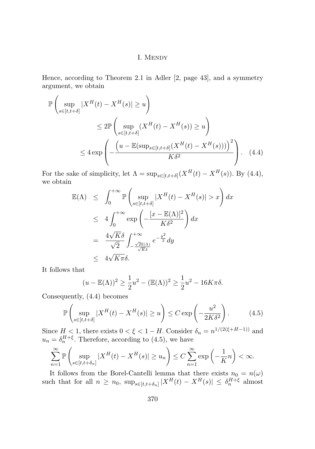Hence, according to Theorem 2*.*1 in Adler [\[2,](#page-16-0) page 43], and a symmetry argument, we obtain

$$
\mathbb{P}\left(\sup_{s\in[t,t+\delta]}|X^H(t) - X^H(s)| \ge u\right)
$$
  
\n
$$
\le 2\mathbb{P}\left(\sup_{s\in[t,t+\delta]}(X^H(t) - X^H(s)) \ge u\right)
$$
  
\n
$$
\le 4\exp\left(-\frac{\left(u - \mathbb{E}(\sup_{s\in[t,t+\delta]}(X^H(t) - X^H(s)))\right)^2}{K\delta^2}\right).
$$
 (4.4)

For the sake of simplicity, let  $\Lambda = \sup_{s \in [t, t + \delta]} (X^H(t) - X^H(s))$ . By (4.4), we obtain

$$
\mathbb{E}(\Lambda) \leq \int_0^{+\infty} \mathbb{P}\left(\sup_{s \in [t, t+\delta]} |X^H(t) - X^H(s)| > x\right) dx
$$
  
\n
$$
\leq 4 \int_0^{+\infty} \exp\left(-\frac{[x - \mathbb{E}(\Lambda)]^2}{K\delta^2}\right) dx
$$
  
\n
$$
= \frac{4\sqrt{K}\delta}{\sqrt{2}} \int_{-\frac{\sqrt{2}\mathbb{E}(\Lambda)}{\sqrt{K}\delta}}^{+\infty} e^{-\frac{y^2}{2}} dy
$$
  
\n
$$
\leq 4\sqrt{K\pi}\delta.
$$

It follows that

$$
(u - \mathbb{E}(\Lambda))^2 \ge \frac{1}{2}u^2 - (\mathbb{E}(\Lambda))^2 \ge \frac{1}{2}u^2 - 16K\pi\delta.
$$

Consequently, (4.4) becomes

$$
\mathbb{P}\left(\sup_{s\in[t,t+\delta]}|X^H(t) - X^H(s)| \ge u\right) \le C \exp\left(-\frac{u^2}{2K\delta^2}\right). \tag{4.5}
$$

Since  $H < 1$ , there exists  $0 < \xi < 1 - H$ . Consider  $\delta_n = n^{1/(2(\xi + H - 1))}$  and  $u_n = \delta_n^{H+\xi}$ . Therefore, according to (4.5), we have

$$
\sum_{n=1}^{\infty} \mathbb{P}\left(\sup_{s \in [t, t+\delta_n]} |X^H(t) - X^H(s)| \ge u_n\right) \le C \sum_{n=1}^{\infty} \exp\left(-\frac{1}{K}n\right) < \infty.
$$

It follows from the Borel-Cantelli lemma that there exists  $n_0 = n(\omega)$ such that for all  $n \geq n_0$ ,  $\sup_{s \in [t, t + \delta_n]} |X^H(t) - X^H(s)| \leq \delta_n^{H+\xi}$  almost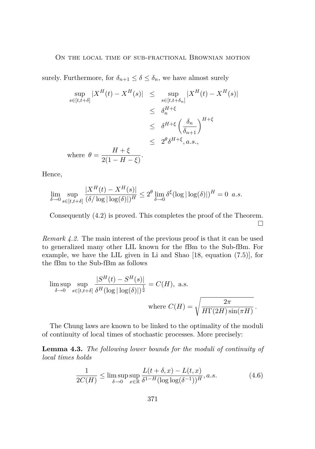surely. Furthermore, for  $\delta_{n+1} \leq \delta \leq \delta_n$ , we have almost surely

$$
\sup_{s \in [t, t+\delta]} |X^H(t) - X^H(s)| \leq \sup_{s \in [t, t+\delta_n]} |X^H(t) - X^H(s)|
$$
  
\n
$$
\leq \delta_n^{H+\xi}
$$
  
\n
$$
\leq \delta^{H+\xi} \left(\frac{\delta_n}{\delta_{n+1}}\right)^{H+\xi}
$$
  
\n
$$
\leq 2^{\theta} \delta^{H+\xi}, a.s.,
$$
  
\nwhere  $\theta = \frac{H+\xi}{2(1-H-\xi)}$ .

Hence,

$$
\lim_{\delta \to 0} \sup_{s \in [t, t+\delta]} \frac{|X^H(t) - X^H(s)|}{(\delta / \log |\log(\delta)|)^H} \le 2^{\theta} \lim_{\delta \to 0} \delta^{\xi} (\log |\log(\delta)|)^H = 0 \quad a.s.
$$

Consequently [\(4.2\)](#page-13-0) is proved. This completes the proof of the Theorem.  $\Box$ 

*Remark 4.2.* The main interest of the previous proof is that it can be used to generalized many other LIL known for the fBm to the Sub-fBm. For example, we have the LIL given in Li and Shao [\[18,](#page-17-0) equation (7.5)], for the fBm to the Sub-fBm as follows

$$
\limsup_{\delta \to 0} \sup_{s \in [t, t+\delta]} \frac{|S^H(t) - S^H(s)|}{\delta^H(\log |\log(\delta)|)^{\frac{1}{2}}} = C(H), \text{ a.s.}
$$
  
where  $C(H) = \sqrt{\frac{2\pi}{H\Gamma(2H)\sin(\pi H)}}$ .

The Chung laws are known to be linked to the optimality of the moduli of continuity of local times of stochastic processes. More precisely:

**Lemma 4.3.** *The following lower bounds for the moduli of continuity of local times holds*

$$
\frac{1}{2C(H)} \le \limsup_{\delta \to 0} \sup_{x \in \mathbb{R}} \frac{L(t+\delta, x) - L(t, x)}{\delta^{1-H} (\log \log(\delta^{-1}))^H}, a.s.
$$
\n(4.6)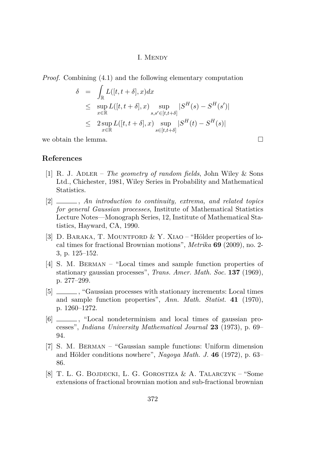<span id="page-16-0"></span>*Proof.* Combining [\(4.1\)](#page-13-0) and the following elementary computation

$$
\delta = \int_{\mathbb{R}} L([t, t + \delta], x) dx
$$
  
\n
$$
\leq \sup_{x \in \mathbb{R}} L([t, t + \delta], x) \sup_{s, s' \in [t, t + \delta]} |S^H(s) - S^H(s')|
$$
  
\n
$$
\leq 2 \sup_{x \in \mathbb{R}} L([t, t + \delta], x) \sup_{s \in [t, t + \delta]} |S^H(t) - S^H(s)|
$$

we obtain the lemma.  $\Box$ 

**References**

- [1] R. J. Adler *The geometry of random fields*, John Wiley & Sons Ltd., Chichester, 1981, Wiley Series in Probability and Mathematical Statistics.
- [2] , *An introduction to continuity, extrema, and related topics for general Gaussian processes*, Institute of Mathematical Statistics Lecture Notes—Monograph Series, 12, Institute of Mathematical Statistics, Hayward, CA, 1990.
- [3] D. Baraka, T. Mountford & Y. Xiao "Hölder properties of local times for fractional Brownian motions", *Metrika* **69** (2009), no. 2- 3, p. 125–152.
- [4] S. M. Berman "Local times and sample function properties of stationary gaussian processes", *Trans. Amer. Math. Soc.* **137** (1969), p. 277–299.
- [5]  $\qquad \qquad$ , "Gaussian processes with stationary increments: Local times and sample function properties", *Ann. Math. Statist.* **41** (1970), p. 1260–1272.
- [6]  $\qquad \qquad$ , "Local nondeterminism and local times of gaussian processes", *Indiana University Mathematical Journal* **23** (1973), p. 69– 94.
- [7] S. M. Berman "Gaussian sample functions: Uniform dimension and Hölder conditions nowhere", *Nagoya Math. J.* **46** (1972), p. 63– 86.
- [8] T. L. G. Bojdecki, L. G. Gorostiza & A. Talarczyk "Some extensions of fractional brownian motion and sub-fractional brownian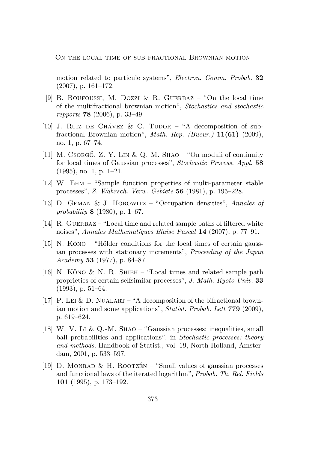<span id="page-17-0"></span>motion related to particule systems", *Electron. Comm. Probab.* **32** (2007), p. 161–172.

- [9] B. BOUFOUSSI, M. DOZZI & R. GUERBAZ "On the local time of the multifractional brownian motion", *Stochastics and stochastic repports* **78** (2006), p. 33–49.
- [10] J. RUIZ DE CHÁVEZ & C. TUDOR "A decomposition of subfractional Brownian motion", *Math. Rep. (Bucur.)* **11(61)** (2009), no. 1, p. 67–74.
- [11] M. Csörgő, Z. Y. Lin & Q. M. Shao "On moduli of continuity for local times of Gaussian processes", *Stochastic Process. Appl.* **58** (1995), no. 1, p. 1–21.
- [12] W. Ehm "Sample function properties of multi-parameter stable processes", *Z. Wahrsch. Verw. Gebiete* **56** (1981), p. 195–228.
- [13] D. Geman & J. Horowitz "Occupation densities", *Annales of probability* **8** (1980), p. 1–67.
- [14] R. GUERBAZ "Local time and related sample paths of filtered white noises", *Annales Mathematiques Blaise Pascal* **14** (2007), p. 77–91.
- [15] N. Kôno "Hölder conditions for the local times of certain gaussian processes with stationary increments", *Proceeding of the Japan Academy* **53** (1977), p. 84–87.
- [16] N. Kôno & N. R. Shieh "Local times and related sample path proprieties of certain selfsimilar processes", *J. Math. Kyoto Univ.* **33**  $(1993)$ , p.  $51-64$ .
- [17] P. LEI & D. NUALART "A decomposition of the bifractional brownian motion and some applications", *Statist. Probab. Lett* **779** (2009), p. 619–624.
- [18] W. V. Li & Q.-M. Shao "Gaussian processes: inequalities, small ball probabilities and applications", in *Stochastic processes: theory and methods*, Handbook of Statist., vol. 19, North-Holland, Amsterdam, 2001, p. 533–597.
- [19] D. MONRAD & H. ROOTZÉN "Small values of gaussian processes and functional laws of the iterated logarithm", *Probab. Th. Rel. Fields* **101** (1995), p. 173–192.